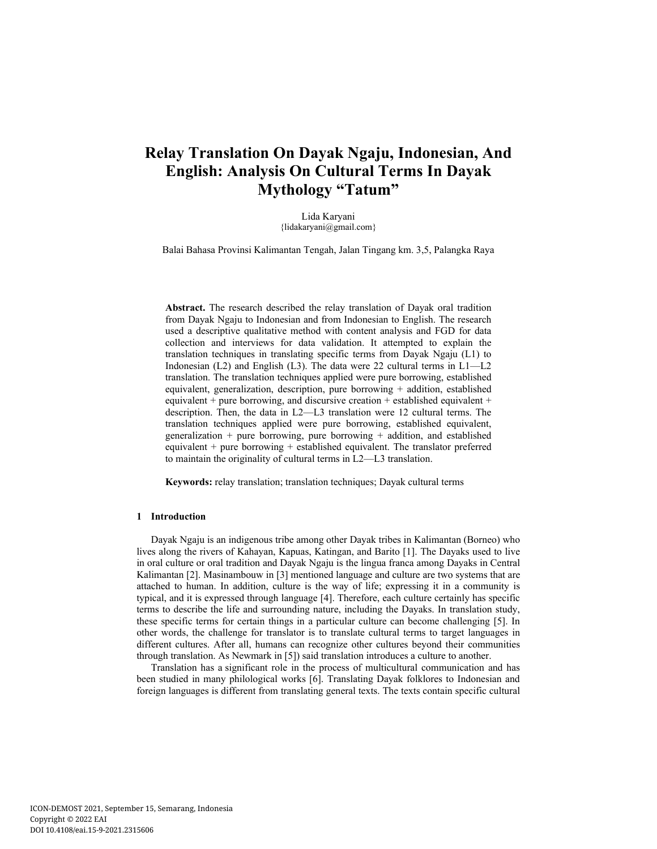# **Relay Translation On Dayak Ngaju, Indonesian, And English: Analysis On Cultural Terms In Dayak Mythology "Tatum"**

Lida Karyani {lidakaryani@gmail.com}

Balai Bahasa Provinsi Kalimantan Tengah, Jalan Tingang km. 3,5, Palangka Raya

**Abstract.** The research described the relay translation of Dayak oral tradition from Dayak Ngaju to Indonesian and from Indonesian to English. The research used a descriptive qualitative method with content analysis and FGD for data collection and interviews for data validation. It attempted to explain the translation techniques in translating specific terms from Dayak Ngaju (L1) to Indonesian (L2) and English (L3). The data were 22 cultural terms in L1—L2 translation. The translation techniques applied were pure borrowing, established equivalent, generalization, description, pure borrowing + addition, established equivalent + pure borrowing, and discursive creation + established equivalent + description. Then, the data in L2—L3 translation were 12 cultural terms. The translation techniques applied were pure borrowing, established equivalent, generalization + pure borrowing, pure borrowing + addition, and established equivalent  $+$  pure borrowing  $+$  established equivalent. The translator preferred to maintain the originality of cultural terms in L2—L3 translation.

**Keywords:** relay translation; translation techniques; Dayak cultural terms

#### **1 Introduction**

Dayak Ngaju is an indigenous tribe among other Dayak tribes in Kalimantan (Borneo) who lives along the rivers of Kahayan, Kapuas, Katingan, and Barito [1]. The Dayaks used to live in oral culture or oral tradition and Dayak Ngaju is the lingua franca among Dayaks in Central Kalimantan [2]. Masinambouw in [3] mentioned language and culture are two systems that are attached to human. In addition, culture is the way of life; expressing it in a community is typical, and it is expressed through language [4]. Therefore, each culture certainly has specific terms to describe the life and surrounding nature, including the Dayaks. In translation study, these specific terms for certain things in a particular culture can become challenging [5]. In other words, the challenge for translator is to translate cultural terms to target languages in different cultures. After all, humans can recognize other cultures beyond their communities through translation. As Newmark in [5]) said translation introduces a culture to another.

Translation has a significant role in the process of multicultural communication and has been studied in many philological works [6]. Translating Dayak folklores to Indonesian and foreign languages is different from translating general texts. The texts contain specific cultural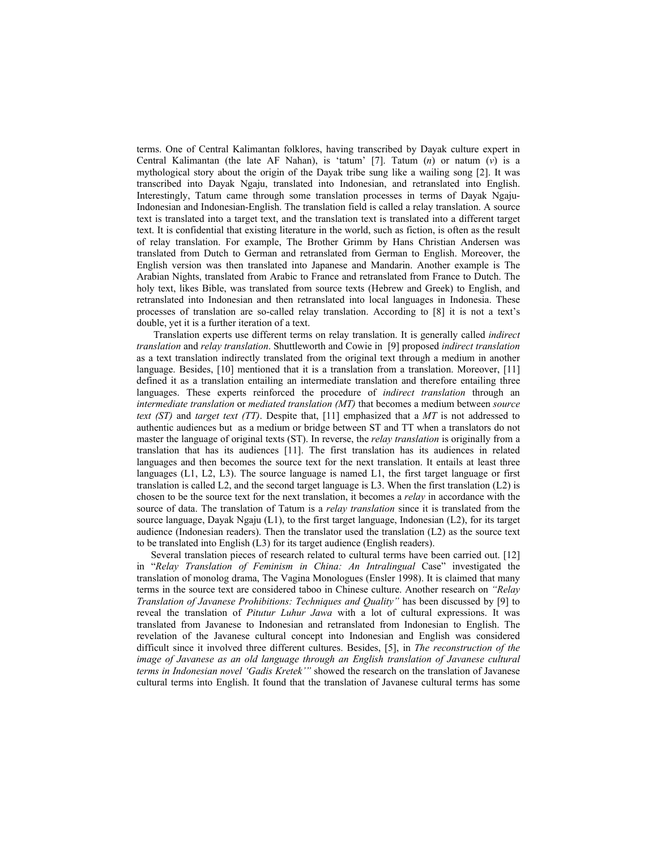terms. One of Central Kalimantan folklores, having transcribed by Dayak culture expert in Central Kalimantan (the late AF Nahan), is 'tatum' [7]. Tatum (*n*) or natum (*v*) is a mythological story about the origin of the Dayak tribe sung like a wailing song [2]. It was transcribed into Dayak Ngaju, translated into Indonesian, and retranslated into English. Interestingly, Tatum came through some translation processes in terms of Dayak Ngaju-Indonesian and Indonesian-English. The translation field is called a relay translation. A source text is translated into a target text, and the translation text is translated into a different target text. It is confidential that existing literature in the world, such as fiction, is often as the result of relay translation. For example, The Brother Grimm by Hans Christian Andersen was translated from Dutch to German and retranslated from German to English. Moreover, the English version was then translated into Japanese and Mandarin. Another example is The Arabian Nights, translated from Arabic to France and retranslated from France to Dutch. The holy text, likes Bible, was translated from source texts (Hebrew and Greek) to English, and retranslated into Indonesian and then retranslated into local languages in Indonesia. These processes of translation are so-called relay translation. According to [8] it is not a text's double, yet it is a further iteration of a text.

 Translation experts use different terms on relay translation. It is generally called *indirect translation* and *relay translation*. Shuttleworth and Cowie in [9] proposed *indirect translation* as a text translation indirectly translated from the original text through a medium in another language. Besides, [10] mentioned that it is a translation from a translation. Moreover, [11] defined it as a translation entailing an intermediate translation and therefore entailing three languages. These experts reinforced the procedure of *indirect translation* through an *intermediate translation* or *mediated translation (MT)* that becomes a medium between *source text (ST)* and *target text (TT)*. Despite that, [11] emphasized that a *MT* is not addressed to authentic audiences but as a medium or bridge between ST and TT when a translators do not master the language of original texts (ST). In reverse, the *relay translation* is originally from a translation that has its audiences [11]. The first translation has its audiences in related languages and then becomes the source text for the next translation. It entails at least three languages (L1, L2, L3). The source language is named L1, the first target language or first translation is called L2, and the second target language is L3. When the first translation (L2) is chosen to be the source text for the next translation, it becomes a *relay* in accordance with the source of data. The translation of Tatum is a *relay translation* since it is translated from the source language, Dayak Ngaju (L1), to the first target language, Indonesian (L2), for its target audience (Indonesian readers). Then the translator used the translation (L2) as the source text to be translated into English (L3) for its target audience (English readers).

Several translation pieces of research related to cultural terms have been carried out. [12] in "*Relay Translation of Feminism in China: An Intralingual Case*" investigated the translation of monolog drama, The Vagina Monologues (Ensler 1998). It is claimed that many terms in the source text are considered taboo in Chinese culture. Another research on *"Relay Translation of Javanese Prohibitions: Techniques and Quality"* has been discussed by [9] to reveal the translation of *Pitutur Luhur Jawa* with a lot of cultural expressions. It was translated from Javanese to Indonesian and retranslated from Indonesian to English. The revelation of the Javanese cultural concept into Indonesian and English was considered difficult since it involved three different cultures. Besides, [5], in *The reconstruction of the image of Javanese as an old language through an English translation of Javanese cultural terms in Indonesian novel 'Gadis Kretek'"* showed the research on the translation of Javanese cultural terms into English. It found that the translation of Javanese cultural terms has some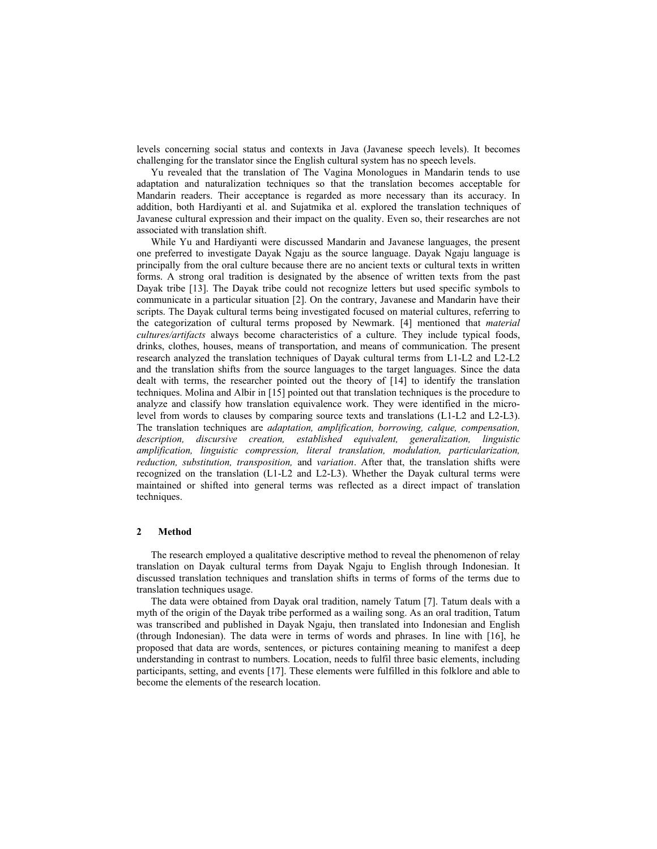levels concerning social status and contexts in Java (Javanese speech levels). It becomes challenging for the translator since the English cultural system has no speech levels.

Yu revealed that the translation of The Vagina Monologues in Mandarin tends to use adaptation and naturalization techniques so that the translation becomes acceptable for Mandarin readers. Their acceptance is regarded as more necessary than its accuracy. In addition, both Hardiyanti et al. and Sujatmika et al. explored the translation techniques of Javanese cultural expression and their impact on the quality. Even so, their researches are not associated with translation shift.

While Yu and Hardiyanti were discussed Mandarin and Javanese languages, the present one preferred to investigate Dayak Ngaju as the source language. Dayak Ngaju language is principally from the oral culture because there are no ancient texts or cultural texts in written forms. A strong oral tradition is designated by the absence of written texts from the past Dayak tribe [13]. The Dayak tribe could not recognize letters but used specific symbols to communicate in a particular situation [2]. On the contrary, Javanese and Mandarin have their scripts. The Dayak cultural terms being investigated focused on material cultures, referring to the categorization of cultural terms proposed by Newmark. [4] mentioned that *material cultures/artifacts* always become characteristics of a culture. They include typical foods, drinks, clothes, houses, means of transportation, and means of communication. The present research analyzed the translation techniques of Dayak cultural terms from L1-L2 and L2-L2 and the translation shifts from the source languages to the target languages. Since the data dealt with terms, the researcher pointed out the theory of [14] to identify the translation techniques. Molina and Albir in [15] pointed out that translation techniques is the procedure to analyze and classify how translation equivalence work. They were identified in the microlevel from words to clauses by comparing source texts and translations (L1-L2 and L2-L3). The translation techniques are *adaptation, amplification, borrowing, calque, compensation, description, discursive creation, established equivalent, generalization, linguistic amplification, linguistic compression, literal translation, modulation, particularization, reduction, substitution, transposition,* and *variation*. After that, the translation shifts were recognized on the translation (L1-L2 and L2-L3). Whether the Dayak cultural terms were maintained or shifted into general terms was reflected as a direct impact of translation techniques.

# **2 Method**

The research employed a qualitative descriptive method to reveal the phenomenon of relay translation on Dayak cultural terms from Dayak Ngaju to English through Indonesian. It discussed translation techniques and translation shifts in terms of forms of the terms due to translation techniques usage.

The data were obtained from Dayak oral tradition, namely Tatum [7]. Tatum deals with a myth of the origin of the Dayak tribe performed as a wailing song. As an oral tradition, Tatum was transcribed and published in Dayak Ngaju, then translated into Indonesian and English (through Indonesian). The data were in terms of words and phrases. In line with [16], he proposed that data are words, sentences, or pictures containing meaning to manifest a deep understanding in contrast to numbers. Location, needs to fulfil three basic elements, including participants, setting, and events [17]. These elements were fulfilled in this folklore and able to become the elements of the research location.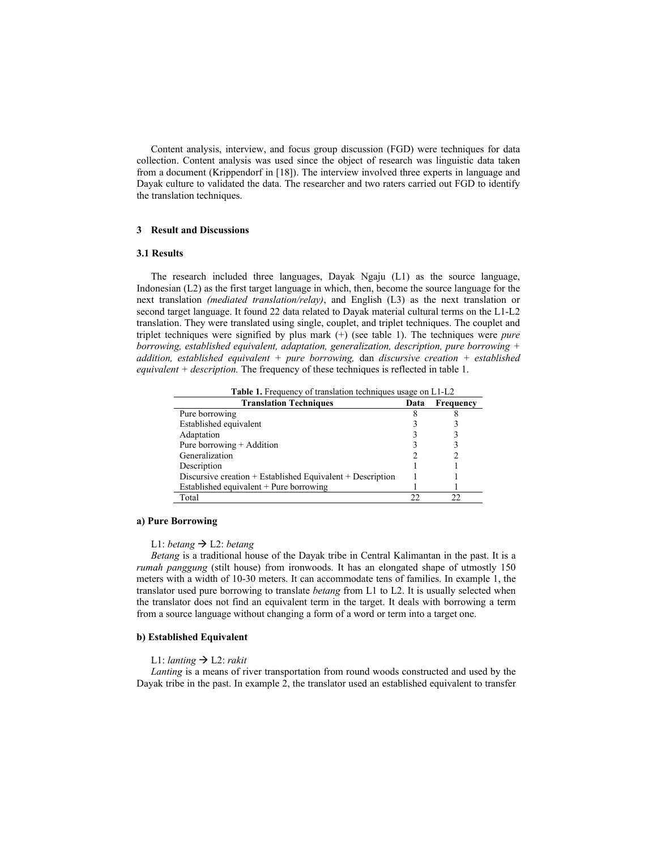Content analysis, interview, and focus group discussion (FGD) were techniques for data collection. Content analysis was used since the object of research was linguistic data taken from a document (Krippendorf in [18]). The interview involved three experts in language and Dayak culture to validated the data. The researcher and two raters carried out FGD to identify the translation techniques.

# **3 Result and Discussions**

# **3.1 Results**

The research included three languages, Dayak Ngaju (L1) as the source language, Indonesian (L2) as the first target language in which, then, become the source language for the next translation *(mediated translation/relay)*, and English (L3) as the next translation or second target language. It found 22 data related to Dayak material cultural terms on the L1-L2 translation. They were translated using single, couplet, and triplet techniques. The couplet and triplet techniques were signified by plus mark (+) (see table 1). The techniques were *pure borrowing, established equivalent, adaptation, generalization, description, pure borrowing + addition, established equivalent + pure borrowing,* dan *discursive creation + established equivalent + description.* The frequency of these techniques is reflected in table 1.

| Table 1. Frequency of translation techniques usage on L1-L2 |      |           |  |
|-------------------------------------------------------------|------|-----------|--|
| <b>Translation Techniques</b>                               | Data | Frequency |  |
| Pure borrowing                                              |      |           |  |
| Established equivalent                                      |      |           |  |
| Adaptation                                                  |      |           |  |
| Pure borrowing $+$ Addition                                 |      |           |  |
| Generalization                                              |      |           |  |
| Description                                                 |      |           |  |
| Discursive creation + Established Equivalent + Description  |      |           |  |
| Established equivalent $+$ Pure borrowing                   |      |           |  |
| Total                                                       | フフ   | າາ        |  |

### **a) Pure Borrowing**

# L1: *betang*  $\rightarrow$  L2: *betang*

*Betang* is a traditional house of the Dayak tribe in Central Kalimantan in the past. It is a *rumah panggung* (stilt house) from ironwoods. It has an elongated shape of utmostly 150 meters with a width of 10-30 meters. It can accommodate tens of families. In example 1, the translator used pure borrowing to translate *betang* from L1 to L2. It is usually selected when the translator does not find an equivalent term in the target. It deals with borrowing a term from a source language without changing a form of a word or term into a target one.

# **b) Established Equivalent**

## L1: *lanting*  $\rightarrow$  L2: *rakit*

*Lanting* is a means of river transportation from round woods constructed and used by the Dayak tribe in the past. In example 2, the translator used an established equivalent to transfer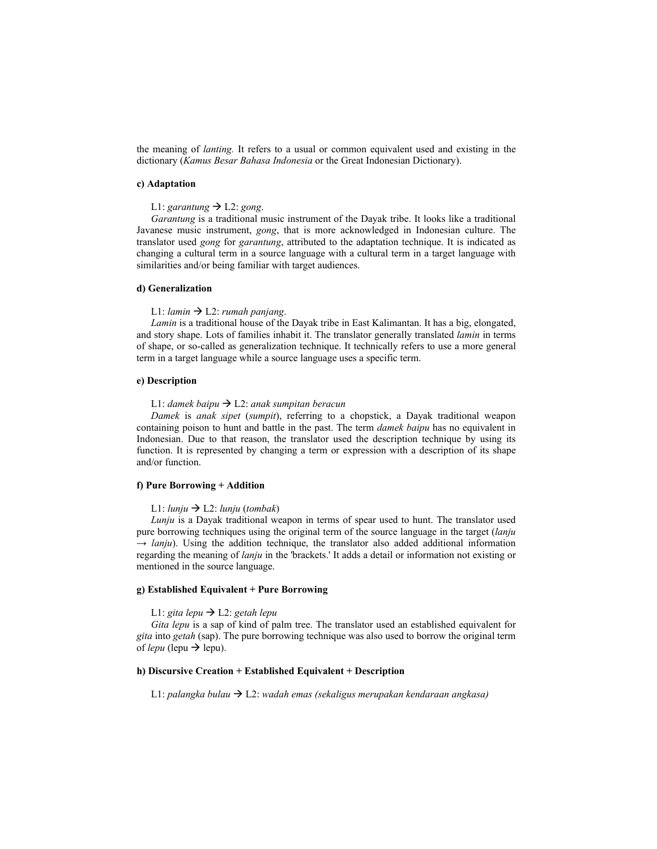the meaning of *lanting.* It refers to a usual or common equivalent used and existing in the dictionary (*Kamus Besar Bahasa Indonesia* or the Great Indonesian Dictionary).

## **c) Adaptation**

# L1: *garantung*  $\rightarrow$  L2: *gong*.

*Garantung* is a traditional music instrument of the Dayak tribe. It looks like a traditional Javanese music instrument, *gong*, that is more acknowledged in Indonesian culture. The translator used *gong* for *garantung*, attributed to the adaptation technique. It is indicated as changing a cultural term in a source language with a cultural term in a target language with similarities and/or being familiar with target audiences.

## **d) Generalization**

## L1: *lamin*  $\rightarrow$  L2: *rumah panjang*.

*Lamin* is a traditional house of the Dayak tribe in East Kalimantan. It has a big, elongated, and story shape. Lots of families inhabit it. The translator generally translated *lamin* in terms of shape, or so-called as generalization technique. It technically refers to use a more general term in a target language while a source language uses a specific term.

#### **e) Description**

#### L1: *damek baipu* L2: *anak sumpitan beracun*

*Damek* is *anak sipet* (*sumpit*), referring to a chopstick, a Dayak traditional weapon containing poison to hunt and battle in the past. The term *damek baipu* has no equivalent in Indonesian. Due to that reason, the translator used the description technique by using its function. It is represented by changing a term or expression with a description of its shape and/or function.

#### **f) Pure Borrowing + Addition**

### L1:  $l$ *unju*  $\rightarrow$  L2:  $l$ *unju* (*tombak*)

*Lunju* is a Dayak traditional weapon in terms of spear used to hunt. The translator used pure borrowing techniques using the original term of the source language in the target (*lanju → lanju*). Using the addition technique, the translator also added additional information regarding the meaning of *lanju* in the 'brackets.' It adds a detail or information not existing or mentioned in the source language.

# **g) Established Equivalent + Pure Borrowing**

# L1: *gita lepu*  $\rightarrow$  L2: *getah lepu*

*Gita lepu* is a sap of kind of palm tree. The translator used an established equivalent for *gita* into *getah* (sap). The pure borrowing technique was also used to borrow the original term of *lepu* (lepu  $\rightarrow$  lepu).

## **h) Discursive Creation + Established Equivalent + Description**

L1: *palangka bulau* L2: *wadah emas (sekaligus merupakan kendaraan angkasa)*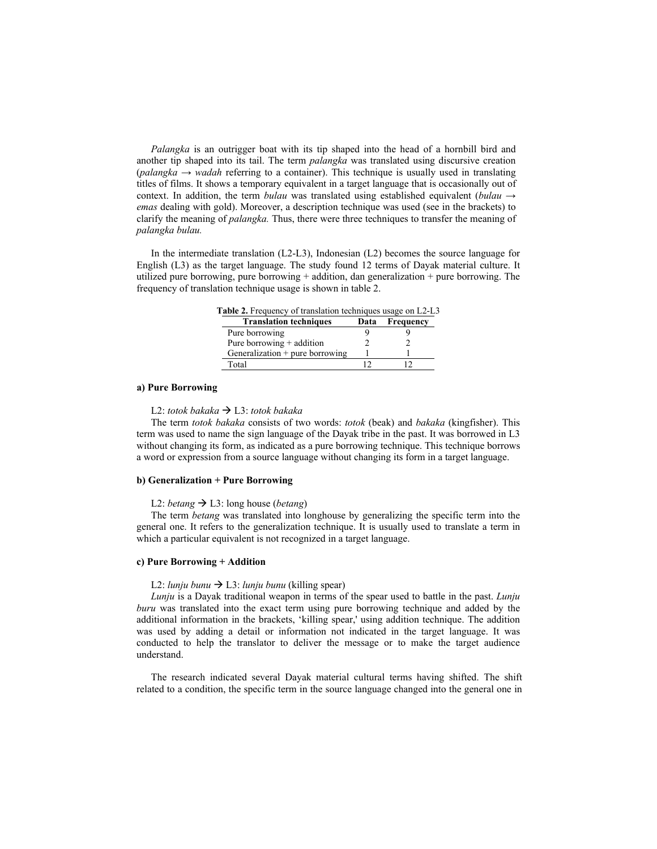*Palangka* is an outrigger boat with its tip shaped into the head of a hornbill bird and another tip shaped into its tail. The term *palangka* was translated using discursive creation (*palangka → wadah* referring to a container). This technique is usually used in translating titles of films. It shows a temporary equivalent in a target language that is occasionally out of context. In addition, the term *bulau* was translated using established equivalent (*bulau*  $\rightarrow$ *emas* dealing with gold). Moreover, a description technique was used (see in the brackets) to clarify the meaning of *palangka.* Thus, there were three techniques to transfer the meaning of *palangka bulau.* 

In the intermediate translation (L2-L3), Indonesian (L2) becomes the source language for English (L3) as the target language. The study found 12 terms of Dayak material culture. It utilized pure borrowing, pure borrowing + addition, dan generalization + pure borrowing. The frequency of translation technique usage is shown in table 2.

**Table 2.** Frequency of translation techniques usage on L2-L3

| <b>Translation techniques</b>     | Data | Frequency |
|-----------------------------------|------|-----------|
| Pure borrowing                    |      |           |
| Pure borrowing $+$ addition       |      |           |
| Generalization $+$ pure borrowing |      |           |
| Total                             |      |           |

## **a) Pure Borrowing**

## L2: *totok bakaka* L3: *totok bakaka*

The term *totok bakaka* consists of two words: *totok* (beak) and *bakaka* (kingfisher). This term was used to name the sign language of the Dayak tribe in the past. It was borrowed in L3 without changing its form, as indicated as a pure borrowing technique. This technique borrows a word or expression from a source language without changing its form in a target language.

#### **b) Generalization + Pure Borrowing**

## L2: *betang*  $\rightarrow$  L3: long house (*betang*)

The term *betang* was translated into longhouse by generalizing the specific term into the general one. It refers to the generalization technique. It is usually used to translate a term in which a particular equivalent is not recognized in a target language.

# **c) Pure Borrowing + Addition**

## L2: *lunju bunu*  $\rightarrow$  L3: *lunju bunu* (killing spear)

*Lunju* is a Dayak traditional weapon in terms of the spear used to battle in the past. *Lunju buru* was translated into the exact term using pure borrowing technique and added by the additional information in the brackets, 'killing spear,' using addition technique. The addition was used by adding a detail or information not indicated in the target language. It was conducted to help the translator to deliver the message or to make the target audience understand.

The research indicated several Dayak material cultural terms having shifted. The shift related to a condition, the specific term in the source language changed into the general one in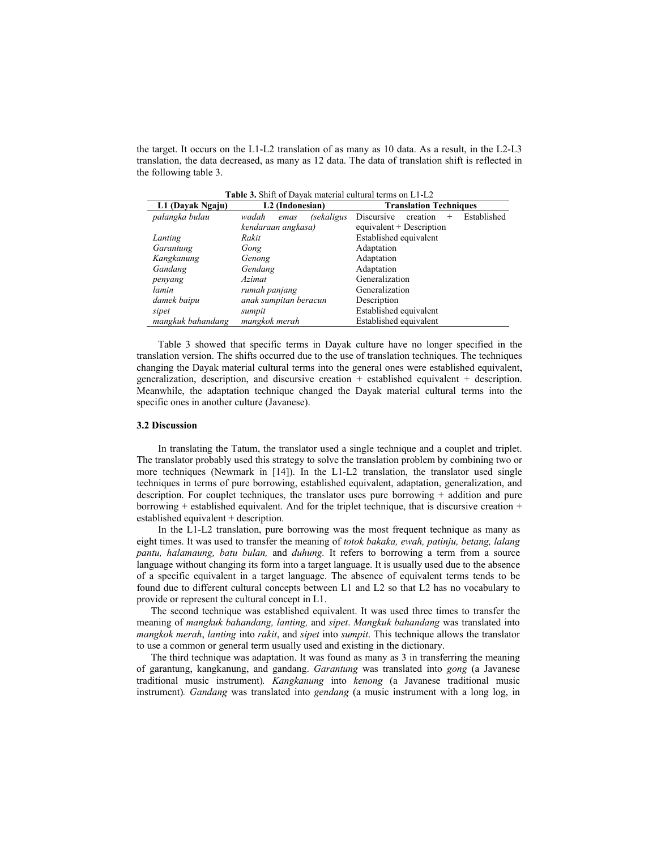the target. It occurs on the L1-L2 translation of as many as 10 data. As a result, in the L2-L3 translation, the data decreased, as many as 12 data. The data of translation shift is reflected in the following table 3.

| <b>Table 3.</b> Shift of Dayak material cultural terms on L1-L2 |                             |                                                        |  |  |
|-----------------------------------------------------------------|-----------------------------|--------------------------------------------------------|--|--|
| L1 (Dayak Ngaju)                                                | L <sub>2</sub> (Indonesian) | <b>Translation Techniques</b>                          |  |  |
| palangka bulau                                                  | (sekaligus<br>wadah<br>emas | Established<br><b>Discursive</b><br>creation<br>$^{+}$ |  |  |
|                                                                 | kendaraan angkasa)          | equivalent $+$ Description                             |  |  |
| Lanting                                                         | Rakit                       | Established equivalent                                 |  |  |
| Garantung                                                       | Gong                        | Adaptation                                             |  |  |
| Kangkanung                                                      | Genong                      | Adaptation                                             |  |  |
| Gandang                                                         | Gendang                     | Adaptation                                             |  |  |
| penyang                                                         | <i>Azimat</i>               | Generalization                                         |  |  |
| lamin                                                           | rumah panjang               | Generalization                                         |  |  |
| damek baipu                                                     | anak sumpitan beracun       | Description                                            |  |  |
| sipet                                                           | sumpit                      | Established equivalent                                 |  |  |
| mangkuk bahandang                                               | mangkok merah               | Established equivalent                                 |  |  |

 Table 3 showed that specific terms in Dayak culture have no longer specified in the translation version. The shifts occurred due to the use of translation techniques. The techniques changing the Dayak material cultural terms into the general ones were established equivalent, generalization, description, and discursive creation + established equivalent + description. Meanwhile, the adaptation technique changed the Dayak material cultural terms into the specific ones in another culture (Javanese).

## **3.2 Discussion**

 In translating the Tatum, the translator used a single technique and a couplet and triplet. The translator probably used this strategy to solve the translation problem by combining two or more techniques (Newmark in [14]). In the L1-L2 translation, the translator used single techniques in terms of pure borrowing, established equivalent, adaptation, generalization, and description. For couplet techniques, the translator uses pure borrowing + addition and pure borrowing  $+$  established equivalent. And for the triplet technique, that is discursive creation  $+$ established equivalent + description.

 In the L1-L2 translation, pure borrowing was the most frequent technique as many as eight times. It was used to transfer the meaning of *totok bakaka, ewah, patinju, betang, lalang pantu, halamaung, batu bulan,* and *duhung.* It refers to borrowing a term from a source language without changing its form into a target language. It is usually used due to the absence of a specific equivalent in a target language. The absence of equivalent terms tends to be found due to different cultural concepts between L1 and L2 so that L2 has no vocabulary to provide or represent the cultural concept in L1.

The second technique was established equivalent. It was used three times to transfer the meaning of *mangkuk bahandang, lanting,* and *sipet*. *Mangkuk bahandang* was translated into *mangkok merah*, *lanting* into *rakit*, and *sipet* into *sumpit*. This technique allows the translator to use a common or general term usually used and existing in the dictionary.

The third technique was adaptation. It was found as many as 3 in transferring the meaning of garantung, kangkanung, and gandang. *Garantung* was translated into *gong* (a Javanese traditional music instrument)*. Kangkanung* into *kenong* (a Javanese traditional music instrument)*. Gandang* was translated into *gendang* (a music instrument with a long log, in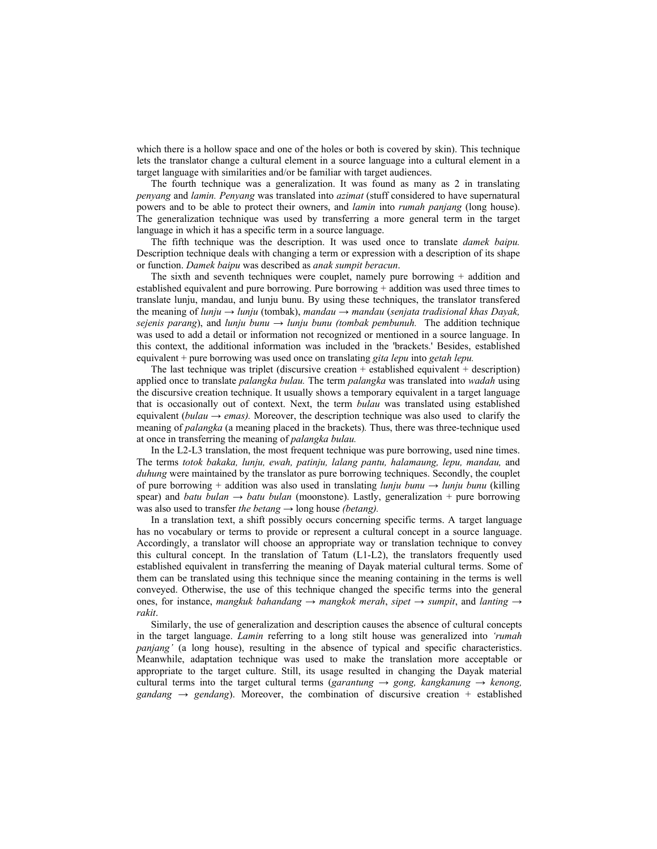which there is a hollow space and one of the holes or both is covered by skin). This technique lets the translator change a cultural element in a source language into a cultural element in a target language with similarities and/or be familiar with target audiences.

The fourth technique was a generalization. It was found as many as 2 in translating *penyang* and *lamin. Penyang* was translated into *azimat* (stuff considered to have supernatural powers and to be able to protect their owners, and *lamin* into *rumah panjang* (long house). The generalization technique was used by transferring a more general term in the target language in which it has a specific term in a source language.

The fifth technique was the description. It was used once to translate *damek baipu.*  Description technique deals with changing a term or expression with a description of its shape or function. *Damek baipu* was described as *anak sumpit beracun*.

The sixth and seventh techniques were couplet, namely pure borrowing + addition and established equivalent and pure borrowing. Pure borrowing + addition was used three times to translate lunju, mandau, and lunju bunu. By using these techniques, the translator transfered the meaning of *lunju* → *lunju* (tombak), *mandau* → *mandau* (*senjata tradisional khas Dayak, sejenis parang*), and *lunju bunu*  $\rightarrow$  *lunju bunu (tombak pembunuh.* The addition technique was used to add a detail or information not recognized or mentioned in a source language. In this context, the additional information was included in the 'brackets.' Besides, established equivalent + pure borrowing was used once on translating *gita lepu* into *getah lepu.* 

The last technique was triplet (discursive creation  $+$  established equivalent  $+$  description) applied once to translate *palangka bulau.* The term *palangka* was translated into *wadah* using the discursive creation technique. It usually shows a temporary equivalent in a target language that is occasionally out of context. Next, the term *bulau* was translated using established equivalent (*bulau*  $\rightarrow$  *emas*). Moreover, the description technique was also used to clarify the meaning of *palangka* (a meaning placed in the brackets)*.* Thus, there was three-technique used at once in transferring the meaning of *palangka bulau.* 

In the L2-L3 translation, the most frequent technique was pure borrowing, used nine times. The terms *totok bakaka, lunju, ewah, patinju, lalang pantu, halamaung, lepu, mandau,* and *duhung* were maintained by the translator as pure borrowing techniques. Secondly, the couplet of pure borrowing + addition was also used in translating *lunju bunu → lunju bunu* (killing spear) and *batu bulan*  $\rightarrow$  *batu bulan* (moonstone). Lastly, generalization + pure borrowing was also used to transfer *the betang →* long house *(betang).* 

In a translation text, a shift possibly occurs concerning specific terms. A target language has no vocabulary or terms to provide or represent a cultural concept in a source language. Accordingly, a translator will choose an appropriate way or translation technique to convey this cultural concept. In the translation of Tatum (L1-L2), the translators frequently used established equivalent in transferring the meaning of Dayak material cultural terms. Some of them can be translated using this technique since the meaning containing in the terms is well conveyed. Otherwise, the use of this technique changed the specific terms into the general ones, for instance, *mangkuk bahandang → mangkok merah*, *sipet → sumpit*, and *lanting* → *rakit*.

Similarly, the use of generalization and description causes the absence of cultural concepts in the target language. *Lamin* referring to a long stilt house was generalized into *'rumah panjang'* (a long house), resulting in the absence of typical and specific characteristics. Meanwhile, adaptation technique was used to make the translation more acceptable or appropriate to the target culture. Still, its usage resulted in changing the Dayak material cultural terms into the target cultural terms (*garantung → gong, kangkanung → kenong, gandang*  $\rightarrow$  *gendang*). Moreover, the combination of discursive creation + established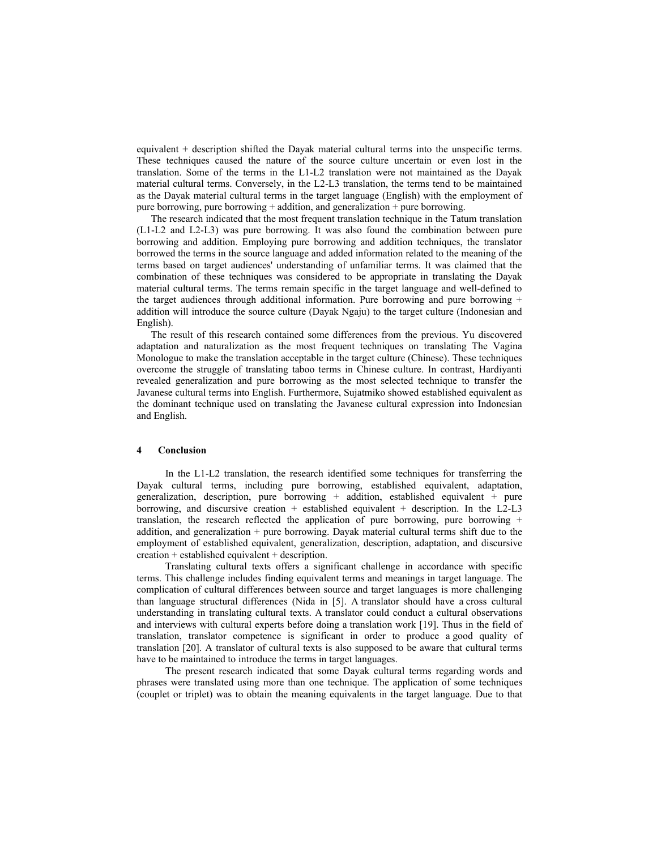equivalent + description shifted the Dayak material cultural terms into the unspecific terms. These techniques caused the nature of the source culture uncertain or even lost in the translation. Some of the terms in the L1-L2 translation were not maintained as the Dayak material cultural terms. Conversely, in the L2-L3 translation, the terms tend to be maintained as the Dayak material cultural terms in the target language (English) with the employment of pure borrowing, pure borrowing + addition, and generalization + pure borrowing.

The research indicated that the most frequent translation technique in the Tatum translation (L1-L2 and L2-L3) was pure borrowing. It was also found the combination between pure borrowing and addition. Employing pure borrowing and addition techniques, the translator borrowed the terms in the source language and added information related to the meaning of the terms based on target audiences' understanding of unfamiliar terms. It was claimed that the combination of these techniques was considered to be appropriate in translating the Dayak material cultural terms. The terms remain specific in the target language and well-defined to the target audiences through additional information. Pure borrowing and pure borrowing  $+$ addition will introduce the source culture (Dayak Ngaju) to the target culture (Indonesian and English).

The result of this research contained some differences from the previous. Yu discovered adaptation and naturalization as the most frequent techniques on translating The Vagina Monologue to make the translation acceptable in the target culture (Chinese). These techniques overcome the struggle of translating taboo terms in Chinese culture. In contrast, Hardiyanti revealed generalization and pure borrowing as the most selected technique to transfer the Javanese cultural terms into English. Furthermore, Sujatmiko showed established equivalent as the dominant technique used on translating the Javanese cultural expression into Indonesian and English.

## **4 Conclusion**

 In the L1-L2 translation, the research identified some techniques for transferring the Dayak cultural terms, including pure borrowing, established equivalent, adaptation, generalization, description, pure borrowing  $+$  addition, established equivalent  $+$  pure borrowing, and discursive creation  $+$  established equivalent  $+$  description. In the L2-L3 translation, the research reflected the application of pure borrowing, pure borrowing  $+$ addition, and generalization  $+$  pure borrowing. Dayak material cultural terms shift due to the employment of established equivalent, generalization, description, adaptation, and discursive creation + established equivalent + description.

 Translating cultural texts offers a significant challenge in accordance with specific terms. This challenge includes finding equivalent terms and meanings in target language. The complication of cultural differences between source and target languages is more challenging than language structural differences (Nida in [5]. A translator should have a cross cultural understanding in translating cultural texts. A translator could conduct a cultural observations and interviews with cultural experts before doing a translation work [19]. Thus in the field of translation, translator competence is significant in order to produce a good quality of translation [20]. A translator of cultural texts is also supposed to be aware that cultural terms have to be maintained to introduce the terms in target languages.

 The present research indicated that some Dayak cultural terms regarding words and phrases were translated using more than one technique. The application of some techniques (couplet or triplet) was to obtain the meaning equivalents in the target language. Due to that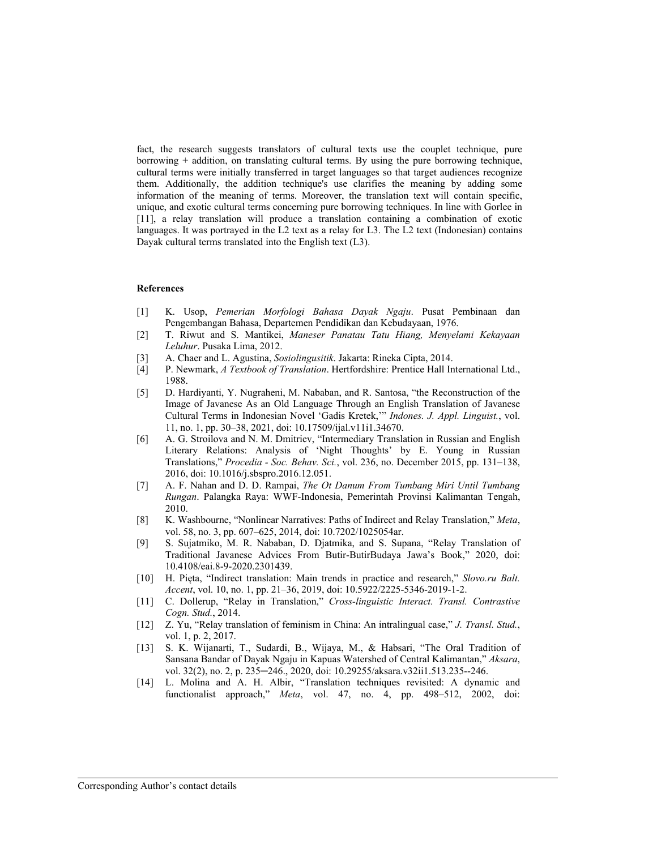fact, the research suggests translators of cultural texts use the couplet technique, pure borrowing + addition, on translating cultural terms. By using the pure borrowing technique, cultural terms were initially transferred in target languages so that target audiences recognize them. Additionally, the addition technique's use clarifies the meaning by adding some information of the meaning of terms. Moreover, the translation text will contain specific, unique, and exotic cultural terms concerning pure borrowing techniques. In line with Gorlee in [11], a relay translation will produce a translation containing a combination of exotic languages. It was portrayed in the L2 text as a relay for L3. The L2 text (Indonesian) contains Dayak cultural terms translated into the English text (L3).

## **References**

- [1] K. Usop, *Pemerian Morfologi Bahasa Dayak Ngaju*. Pusat Pembinaan dan Pengembangan Bahasa, Departemen Pendidikan dan Kebudayaan, 1976.
- [2] T. Riwut and S. Mantikei, *Maneser Panatau Tatu Hiang, Menyelami Kekayaan Leluhur*. Pusaka Lima, 2012.
- [3] A. Chaer and L. Agustina, *Sosiolingusitik*. Jakarta: Rineka Cipta, 2014.
- [4] P. Newmark, *A Textbook of Translation*. Hertfordshire: Prentice Hall International Ltd., 1988.
- [5] D. Hardiyanti, Y. Nugraheni, M. Nababan, and R. Santosa, "the Reconstruction of the Image of Javanese As an Old Language Through an English Translation of Javanese Cultural Terms in Indonesian Novel 'Gadis Kretek,'" *Indones. J. Appl. Linguist.*, vol. 11, no. 1, pp. 30–38, 2021, doi: 10.17509/ijal.v11i1.34670.
- [6] A. G. Stroilova and N. M. Dmitriev, "Intermediary Translation in Russian and English Literary Relations: Analysis of 'Night Thoughts' by E. Young in Russian Translations," *Procedia - Soc. Behav. Sci.*, vol. 236, no. December 2015, pp. 131–138, 2016, doi: 10.1016/j.sbspro.2016.12.051.
- [7] A. F. Nahan and D. D. Rampai, *The Ot Danum From Tumbang Miri Until Tumbang Rungan*. Palangka Raya: WWF-Indonesia, Pemerintah Provinsi Kalimantan Tengah, 2010.
- [8] K. Washbourne, "Nonlinear Narratives: Paths of Indirect and Relay Translation," *Meta*, vol. 58, no. 3, pp. 607–625, 2014, doi: 10.7202/1025054ar.
- [9] S. Sujatmiko, M. R. Nababan, D. Djatmika, and S. Supana, "Relay Translation of Traditional Javanese Advices From Butir-ButirBudaya Jawa's Book," 2020, doi: 10.4108/eai.8-9-2020.2301439.
- [10] H. Pięta, "Indirect translation: Main trends in practice and research," *Slovo.ru Balt. Accent*, vol. 10, no. 1, pp. 21–36, 2019, doi: 10.5922/2225-5346-2019-1-2.
- [11] C. Dollerup, "Relay in Translation," *Cross-linguistic Interact. Transl. Contrastive Cogn. Stud.*, 2014.
- [12] Z. Yu, "Relay translation of feminism in China: An intralingual case," *J. Transl. Stud.*, vol. 1, p. 2, 2017.
- [13] S. K. Wijanarti, T., Sudardi, B., Wijaya, M., & Habsari, "The Oral Tradition of Sansana Bandar of Dayak Ngaju in Kapuas Watershed of Central Kalimantan," *Aksara*, vol. 32(2), no. 2, p. 235─246., 2020, doi: 10.29255/aksara.v32ii1.513.235--246.
- [14] L. Molina and A. H. Albir, "Translation techniques revisited: A dynamic and functionalist approach," *Meta*, vol. 47, no. 4, pp. 498–512, 2002, doi: